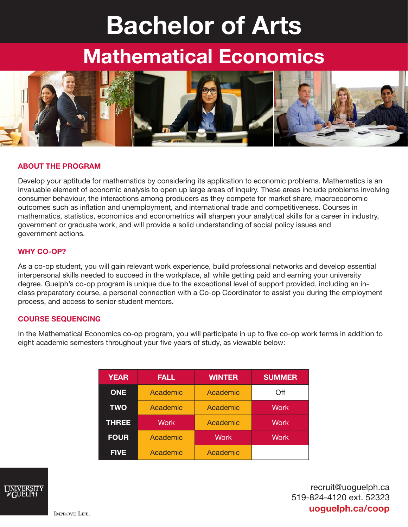# Bachelor of Arts

## Mathematical Economics



#### ABOUT THE PROGRAM

Develop your aptitude for mathematics by considering its application to economic problems. Mathematics is an invaluable element of economic analysis to open up large areas of inquiry. These areas include problems involving consumer behaviour, the interactions among producers as they compete for market share, macroeconomic outcomes such as inflation and unemployment, and international trade and competitiveness. Courses in mathematics, statistics, economics and econometrics will sharpen your analytical skills for a career in industry, government or graduate work, and will provide a solid understanding of social policy issues and government actions.

#### WHY CO-OP?

As a co-op student, you will gain relevant work experience, build professional networks and develop essential interpersonal skills needed to succeed in the workplace, all while getting paid and earning your university degree. Guelph's co-op program is unique due to the exceptional level of support provided, including an inclass preparatory course, a personal connection with a Co-op Coordinator to assist you during the employment process, and access to senior student mentors.

#### COURSE SEQUENCING

In the Mathematical Economics co-op program, you will participate in up to five co-op work terms in addition to eight academic semesters throughout your five years of study, as viewable below:

| <b>YEAR</b>  | <b>FALL</b> | <b>WINTER</b> | <b>SUMMER</b> |
|--------------|-------------|---------------|---------------|
| <b>ONE</b>   | Academic    | Academic      | Off           |
| <b>TWO</b>   | Academic    | Academic      | <b>Work</b>   |
| <b>THREE</b> | <b>Work</b> | Academic      | <b>Work</b>   |
| <b>FOUR</b>  | Academic    | <b>Work</b>   | <b>Work</b>   |
| <b>FIVE</b>  | Academic    | Academic      |               |



recruit@uoguelph.ca 519-824-4120 ext. 52323 uoguelph.ca/coop